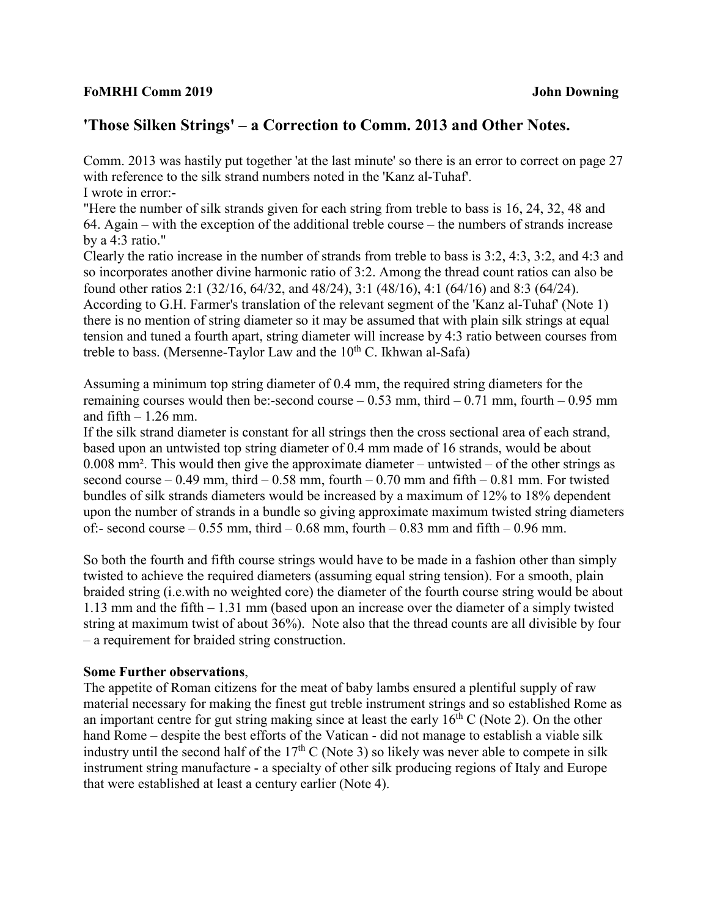## **FoMRHI Comm 2019 John Downing**

## **'Those Silken Strings' – a Correction to Comm. 2013 and Other Notes.**

Comm. 2013 was hastily put together 'at the last minute' so there is an error to correct on page 27 with reference to the silk strand numbers noted in the 'Kanz al-Tuhaf'. I wrote in error:-

"Here the number of silk strands given for each string from treble to bass is 16, 24, 32, 48 and 64. Again – with the exception of the additional treble course – the numbers of strands increase by a 4:3 ratio."

Clearly the ratio increase in the number of strands from treble to bass is 3:2, 4:3, 3:2, and 4:3 and so incorporates another divine harmonic ratio of 3:2. Among the thread count ratios can also be found other ratios 2:1 (32/16, 64/32, and 48/24), 3:1 (48/16), 4:1 (64/16) and 8:3 (64/24). According to G.H. Farmer's translation of the relevant segment of the 'Kanz al-Tuhaf' (Note 1) there is no mention of string diameter so it may be assumed that with plain silk strings at equal tension and tuned a fourth apart, string diameter will increase by 4:3 ratio between courses from treble to bass. (Mersenne-Taylor Law and the  $10^{th}$  C. Ikhwan al-Safa)

Assuming a minimum top string diameter of 0.4 mm, the required string diameters for the remaining courses would then be:-second course  $-0.53$  mm, third  $-0.71$  mm, fourth  $-0.95$  mm and fifth  $-1.26$  mm.

If the silk strand diameter is constant for all strings then the cross sectional area of each strand, based upon an untwisted top string diameter of 0.4 mm made of 16 strands, would be about 0.008 mm². This would then give the approximate diameter – untwisted – of the other strings as second course – 0.49 mm, third – 0.58 mm, fourth – 0.70 mm and fifth – 0.81 mm. For twisted bundles of silk strands diameters would be increased by a maximum of 12% to 18% dependent upon the number of strands in a bundle so giving approximate maximum twisted string diameters of:- second course  $-0.55$  mm, third  $-0.68$  mm, fourth  $-0.83$  mm and fifth  $-0.96$  mm.

So both the fourth and fifth course strings would have to be made in a fashion other than simply twisted to achieve the required diameters (assuming equal string tension). For a smooth, plain braided string (i.e.with no weighted core) the diameter of the fourth course string would be about 1.13 mm and the fifth – 1.31 mm (based upon an increase over the diameter of a simply twisted string at maximum twist of about 36%). Note also that the thread counts are all divisible by four – a requirement for braided string construction.

## **Some Further observations**,

The appetite of Roman citizens for the meat of baby lambs ensured a plentiful supply of raw material necessary for making the finest gut treble instrument strings and so established Rome as an important centre for gut string making since at least the early  $16<sup>th</sup>$  C (Note 2). On the other hand Rome – despite the best efforts of the Vatican - did not manage to establish a viable silk industry until the second half of the  $17<sup>th</sup>$  C (Note 3) so likely was never able to compete in silk instrument string manufacture - a specialty of other silk producing regions of Italy and Europe that were established at least a century earlier (Note 4).